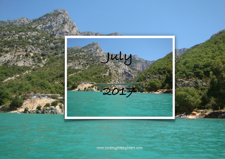





**[www.lovemyhappyheart.com](http://www.lovemyhappyheart.com)**